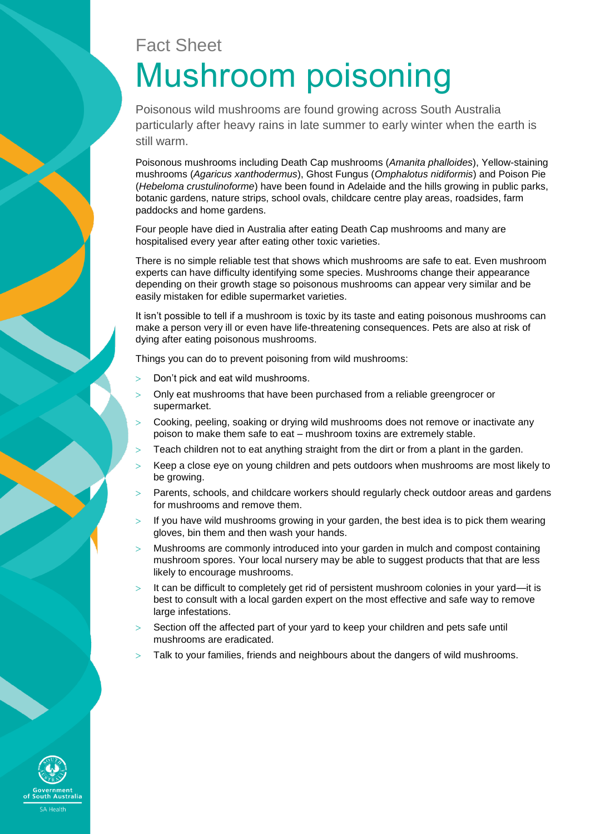# Fact Sheet Mushroom poisoning

Poisonous wild mushrooms are found growing across South Australia particularly after heavy rains in late summer to early winter when the earth is still warm.

Poisonous mushrooms including Death Cap mushrooms (*Amanita phalloides*), Yellow-staining mushrooms (*Agaricus xanthodermus*), Ghost Fungus (*Omphalotus nidiformis*) and Poison Pie (*Hebeloma crustulinoforme*) have been found in Adelaide and the hills growing in public parks, botanic gardens, nature strips, school ovals, childcare centre play areas, roadsides, farm paddocks and home gardens.

Four people have died in Australia after eating Death Cap mushrooms and many are hospitalised every year after eating other toxic varieties.

There is no simple reliable test that shows which mushrooms are safe to eat. Even mushroom experts can have difficulty identifying some species. Mushrooms change their appearance depending on their growth stage so poisonous mushrooms can appear very similar and be easily mistaken for edible supermarket varieties.

It isn't possible to tell if a mushroom is toxic by its taste and eating poisonous mushrooms can make a person very ill or even have life-threatening consequences. Pets are also at risk of dying after eating poisonous mushrooms.

Things you can do to prevent poisoning from wild mushrooms:

- Don't pick and eat wild mushrooms.
- Only eat mushrooms that have been purchased from a reliable greengrocer or supermarket.
- Cooking, peeling, soaking or drying wild mushrooms does not remove or inactivate any poison to make them safe to eat – mushroom toxins are extremely stable.
- $>$  Teach children not to eat anything straight from the dirt or from a plant in the garden.
- Keep a close eye on young children and pets outdoors when mushrooms are most likely to be growing.
- $>$  Parents, schools, and childcare workers should regularly check outdoor areas and gardens for mushrooms and remove them.
- $>$  If you have wild mushrooms growing in your garden, the best idea is to pick them wearing gloves, bin them and then wash your hands.
- $>$  Mushrooms are commonly introduced into your garden in mulch and compost containing mushroom spores. Your local nursery may be able to suggest products that that are less likely to encourage mushrooms.
- It can be difficult to completely get rid of persistent mushroom colonies in your yard—it is best to consult with a local garden expert on the most effective and safe way to remove large infestations.
- $>$  Section off the affected part of your yard to keep your children and pets safe until mushrooms are eradicated.
- Talk to your families, friends and neighbours about the dangers of wild mushrooms.

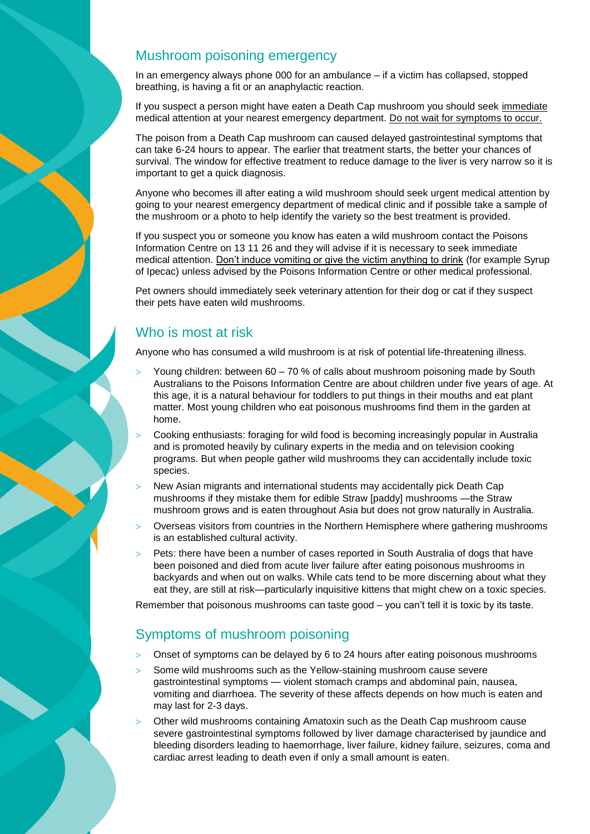# Mushroom poisoning emergency

In an emergency always phone 000 for an ambulance – if a victim has collapsed, stopped breathing, is having a fit or an anaphylactic reaction.

If you suspect a person might have eaten a Death Cap mushroom you should seek immediate medical attention at your nearest emergency department. Do not wait for symptoms to occur.

The poison from a Death Cap mushroom can caused delayed gastrointestinal symptoms that can take 6-24 hours to appear. The earlier that treatment starts, the better your chances of survival. The window for effective treatment to reduce damage to the liver is very narrow so it is important to get a quick diagnosis.

Anyone who becomes ill after eating a wild mushroom should seek urgent medical attention by going to your nearest emergency department of medical clinic and if possible take a sample of the mushroom or a photo to help identify the variety so the best treatment is provided.

If you suspect you or someone you know has eaten a wild mushroom contact the Poisons Information Centre on 13 11 26 and they will advise if it is necessary to seek immediate medical attention. Don't induce vomiting or give the victim anything to drink (for example Syrup of Ipecac) unless advised by the Poisons Information Centre or other medical professional.

Pet owners should immediately seek veterinary attention for their dog or cat if they suspect their pets have eaten wild mushrooms.

# Who is most at risk

Anyone who has consumed a wild mushroom is at risk of potential life-threatening illness.

- Young children: between 60 70 % of calls about mushroom poisoning made by South Australians to the Poisons Information Centre are about children under five years of age. At this age, it is a natural behaviour for toddlers to put things in their mouths and eat plant matter. Most young children who eat poisonous mushrooms find them in the garden at home.
- Cooking enthusiasts: foraging for wild food is becoming increasingly popular in Australia and is promoted heavily by culinary experts in the media and on television cooking programs. But when people gather wild mushrooms they can accidentally include toxic species.
- New Asian migrants and international students may accidentally pick Death Cap mushrooms if they mistake them for edible Straw [paddy] mushrooms —the Straw mushroom grows and is eaten throughout Asia but does not grow naturally in Australia.
- Overseas visitors from countries in the Northern Hemisphere where gathering mushrooms is an established cultural activity.
- Pets: there have been a number of cases reported in South Australia of dogs that have been poisoned and died from acute liver failure after eating poisonous mushrooms in backyards and when out on walks. While cats tend to be more discerning about what they eat they, are still at risk—particularly inquisitive kittens that might chew on a toxic species.

Remember that poisonous mushrooms can taste good – you can't tell it is toxic by its taste.

# Symptoms of mushroom poisoning

- Onset of symptoms can be delayed by 6 to 24 hours after eating poisonous mushrooms
- Some wild mushrooms such as the Yellow-staining mushroom cause severe gastrointestinal symptoms — violent stomach cramps and abdominal pain, nausea, vomiting and diarrhoea. The severity of these affects depends on how much is eaten and may last for 2-3 days.
- Other wild mushrooms containing Amatoxin such as the Death Cap mushroom cause severe gastrointestinal symptoms followed by liver damage characterised by jaundice and bleeding disorders leading to haemorrhage, liver failure, kidney failure, seizures, coma and cardiac arrest leading to death even if only a small amount is eaten.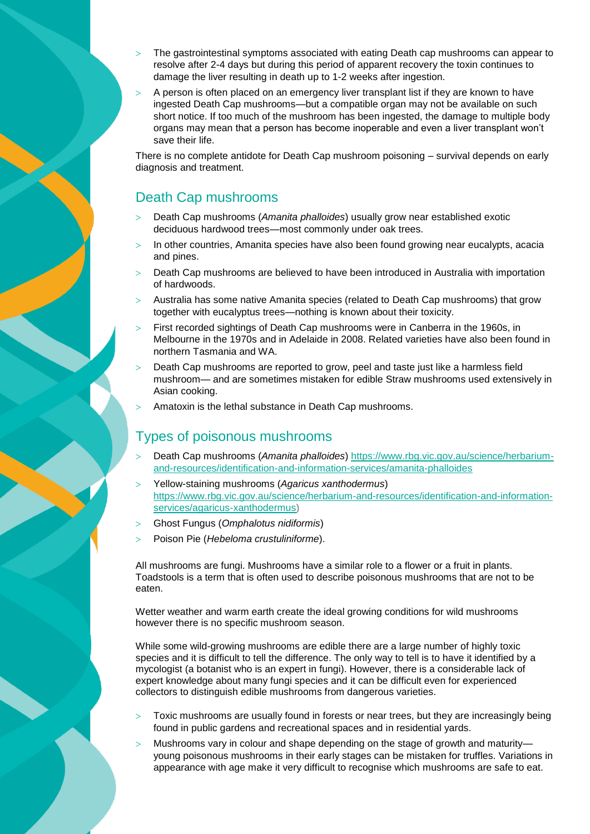- The gastrointestinal symptoms associated with eating Death cap mushrooms can appear to resolve after 2-4 days but during this period of apparent recovery the toxin continues to damage the liver resulting in death up to 1-2 weeks after ingestion.
- $>$  A person is often placed on an emergency liver transplant list if they are known to have ingested Death Cap mushrooms—but a compatible organ may not be available on such short notice. If too much of the mushroom has been ingested, the damage to multiple body organs may mean that a person has become inoperable and even a liver transplant won't save their life.

There is no complete antidote for Death Cap mushroom poisoning – survival depends on early diagnosis and treatment.

#### Death Cap mushrooms

- Death Cap mushrooms (*Amanita phalloides*) usually grow near established exotic deciduous hardwood trees—most commonly under oak trees.
- $>$  In other countries, Amanita species have also been found growing near eucalypts, acacia and pines.
- Death Cap mushrooms are believed to have been introduced in Australia with importation of hardwoods.
- Australia has some native Amanita species (related to Death Cap mushrooms) that grow together with eucalyptus trees—nothing is known about their toxicity.
- First recorded sightings of Death Cap mushrooms were in Canberra in the 1960s, in Melbourne in the 1970s and in Adelaide in 2008. Related varieties have also been found in northern Tasmania and WA.
- Death Cap mushrooms are reported to grow, peel and taste just like a harmless field mushroom— and are sometimes mistaken for edible Straw mushrooms used extensively in Asian cooking.
- Amatoxin is the lethal substance in Death Cap mushrooms.

### Types of poisonous mushrooms

- Death Cap mushrooms (*Amanita phalloides*) [https://www.rbg.vic.gov.au/science/herbarium](https://www.rbg.vic.gov.au/science/herbarium-and-resources/identification-and-information-services/amanita-phalloides)[and-resources/identification-and-information-services/amanita-phalloides](https://www.rbg.vic.gov.au/science/herbarium-and-resources/identification-and-information-services/amanita-phalloides)
- Yellow-staining mushrooms (*Agaricus xanthodermus*) [https://www.rbg.vic.gov.au/science/herbarium-and-resources/identification-and-information](https://www.rbg.vic.gov.au/science/herbarium-and-resources/identification-and-information-services/agaricus-xanthodermus)[services/agaricus-xanthodermus\)](https://www.rbg.vic.gov.au/science/herbarium-and-resources/identification-and-information-services/agaricus-xanthodermus)
- Ghost Fungus (*Omphalotus nidiformis*)
- Poison Pie (*Hebeloma crustuliniforme*).

All mushrooms are fungi. Mushrooms have a similar role to a flower or a fruit in plants. Toadstools is a term that is often used to describe poisonous mushrooms that are not to be eaten.

Wetter weather and warm earth create the ideal growing conditions for wild mushrooms however there is no specific mushroom season.

While some wild-growing mushrooms are edible there are a large number of highly toxic species and it is difficult to tell the difference. The only way to tell is to have it identified by a mycologist (a botanist who is an expert in fungi). However, there is a considerable lack of expert knowledge about many fungi species and it can be difficult even for experienced collectors to distinguish edible mushrooms from dangerous varieties.

- Toxic mushrooms are usually found in forests or near trees, but they are increasingly being found in public gardens and recreational spaces and in residential yards.
- Mushrooms vary in colour and shape depending on the stage of growth and maturity young poisonous mushrooms in their early stages can be mistaken for truffles. Variations in appearance with age make it very difficult to recognise which mushrooms are safe to eat.